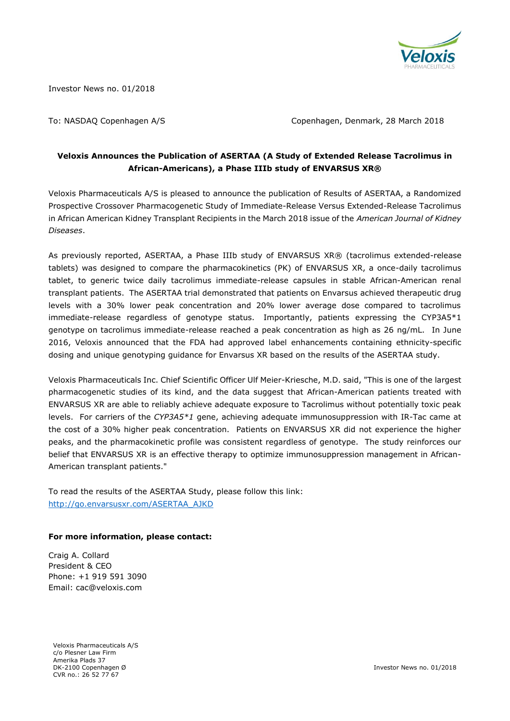

Investor News no. 01/2018

To: NASDAQ Copenhagen A/S Copenhagen, Denmark, 28 March 2018

# **Veloxis Announces the Publication of ASERTAA (A Study of Extended Release Tacrolimus in African-Americans), a Phase IIIb study of ENVARSUS XR®**

Veloxis Pharmaceuticals A/S is pleased to announce the publication of Results of ASERTAA, a Randomized Prospective Crossover Pharmacogenetic Study of Immediate-Release Versus Extended-Release Tacrolimus in African American Kidney Transplant Recipients in the March 2018 issue of the *American Journal of Kidney Diseases*.

As previously reported, ASERTAA, a Phase IIIb study of ENVARSUS XR® (tacrolimus extended-release tablets) was designed to compare the pharmacokinetics (PK) of ENVARSUS XR, a once-daily tacrolimus tablet, to generic twice daily tacrolimus immediate-release capsules in stable African-American renal transplant patients. The ASERTAA trial demonstrated that patients on Envarsus achieved therapeutic drug levels with a 30% lower peak concentration and 20% lower average dose compared to tacrolimus immediate-release regardless of genotype status. Importantly, patients expressing the CYP3A5\*1 genotype on tacrolimus immediate-release reached a peak concentration as high as 26 ng/mL. In June 2016, Veloxis announced that the FDA had approved label enhancements containing ethnicity-specific dosing and unique genotyping guidance for Envarsus XR based on the results of the ASERTAA study.

Veloxis Pharmaceuticals Inc. Chief Scientific Officer Ulf Meier-Kriesche, M.D. said, "This is one of the largest pharmacogenetic studies of its kind, and the data suggest that African-American patients treated with ENVARSUS XR are able to reliably achieve adequate exposure to Tacrolimus without potentially toxic peak levels. For carriers of the *CYP3A5\*1* gene, achieving adequate immunosuppression with IR-Tac came at the cost of a 30% higher peak concentration. Patients on ENVARSUS XR did not experience the higher peaks, and the pharmacokinetic profile was consistent regardless of genotype. The study reinforces our belief that ENVARSUS XR is an effective therapy to optimize immunosuppression management in African-American transplant patients."

To read the results of the ASERTAA Study, please follow this link: [http://go.envarsusxr.com/ASERTAA\\_AJKD](http://go.envarsusxr.com/ASERTAA_AJKD)

## **For more information, please contact:**

Craig A. Collard President & CEO Phone: +1 919 591 3090 Email: cac@veloxis.com

Veloxis Pharmaceuticals A/S c/o Plesner Law Firm Amerika Plads 37 DK-2100 Copenhagen Ø CVR no.: 26 52 77 67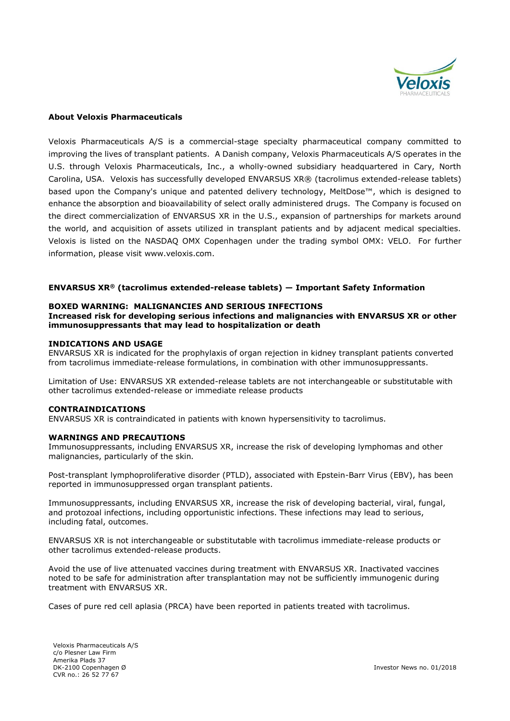

#### **About Veloxis Pharmaceuticals**

Veloxis Pharmaceuticals A/S is a commercial-stage specialty pharmaceutical company committed to improving the lives of transplant patients. A Danish company, Veloxis Pharmaceuticals A/S operates in the U.S. through Veloxis Pharmaceuticals, Inc., a wholly-owned subsidiary headquartered in Cary, North Carolina, USA. Veloxis has successfully developed ENVARSUS XR® (tacrolimus extended-release tablets) based upon the Company's unique and patented delivery technology, MeltDose™, which is designed to enhance the absorption and bioavailability of select orally administered drugs. The Company is focused on the direct commercialization of ENVARSUS XR in the U.S., expansion of partnerships for markets around the world, and acquisition of assets utilized in transplant patients and by adjacent medical specialties. Veloxis is listed on the NASDAQ OMX Copenhagen under the trading symbol OMX: VELO. For further information, please visit [www.veloxis.com.](http://www.veloxis.com/)

#### **ENVARSUS XR® (tacrolimus extended-release tablets) — Important Safety Information**

### **BOXED WARNING: MALIGNANCIES AND SERIOUS INFECTIONS**

**Increased risk for developing serious infections and malignancies with ENVARSUS XR or other immunosuppressants that may lead to hospitalization or death**

#### **INDICATIONS AND USAGE**

ENVARSUS XR is indicated for the prophylaxis of organ rejection in kidney transplant patients converted from tacrolimus immediate-release formulations, in combination with other immunosuppressants.

Limitation of Use: ENVARSUS XR extended-release tablets are not interchangeable or substitutable with other tacrolimus extended-release or immediate release products

## **CONTRAINDICATIONS**

ENVARSUS XR is contraindicated in patients with known hypersensitivity to tacrolimus.

#### **WARNINGS AND PRECAUTIONS**

Immunosuppressants, including ENVARSUS XR, increase the risk of developing lymphomas and other malignancies, particularly of the skin*.*

Post-transplant lymphoproliferative disorder (PTLD), associated with Epstein-Barr Virus (EBV), has been reported in immunosuppressed organ transplant patients.

Immunosuppressants, including ENVARSUS XR, increase the risk of developing bacterial, viral, fungal, and protozoal infections, including opportunistic infections. These infections may lead to serious, including fatal, outcomes.

ENVARSUS XR is not interchangeable or substitutable with tacrolimus immediate-release products or other tacrolimus extended-release products.

Avoid the use of live attenuated vaccines during treatment with ENVARSUS XR. Inactivated vaccines noted to be safe for administration after transplantation may not be sufficiently immunogenic during treatment with ENVARSUS XR.

Cases of pure red cell aplasia (PRCA) have been reported in patients treated with tacrolimus.